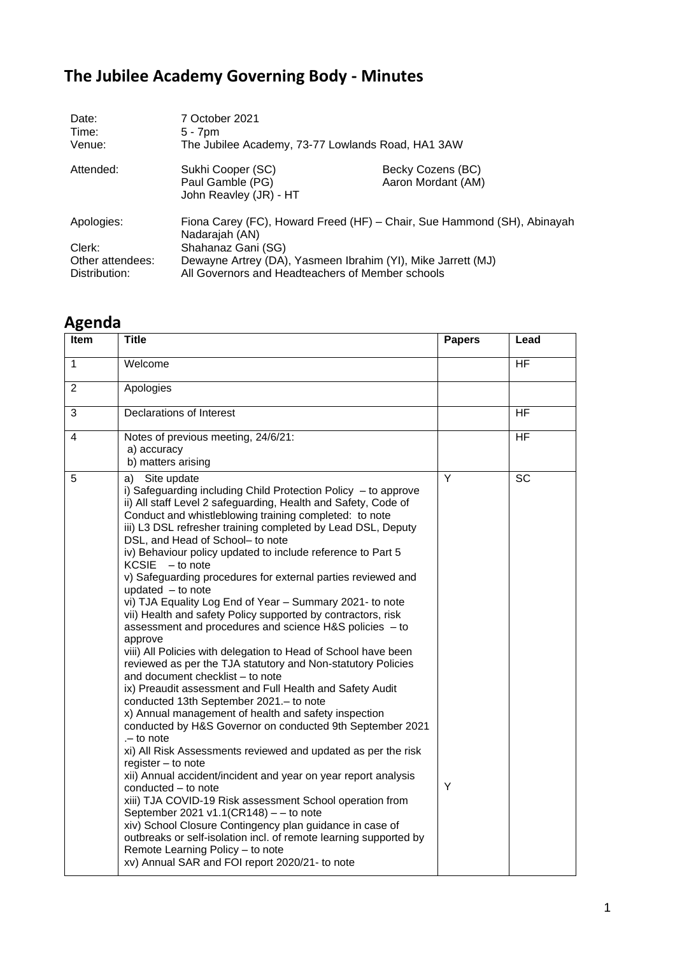## **The Jubilee Academy Governing Body - Minutes**

| Date:<br>Time:                                            | 7 October 2021<br>$5 - 7$ pm                                                                                                                                                                                                        |                                         |  |
|-----------------------------------------------------------|-------------------------------------------------------------------------------------------------------------------------------------------------------------------------------------------------------------------------------------|-----------------------------------------|--|
| Venue:                                                    | The Jubilee Academy, 73-77 Lowlands Road, HA1 3AW                                                                                                                                                                                   |                                         |  |
| Attended:                                                 | Sukhi Cooper (SC)<br>Paul Gamble (PG)<br>John Reavley (JR) - HT                                                                                                                                                                     | Becky Cozens (BC)<br>Aaron Mordant (AM) |  |
| Apologies:<br>Clerk:<br>Other attendees:<br>Distribution: | Fiona Carey (FC), Howard Freed (HF) - Chair, Sue Hammond (SH), Abinayah<br>Nadarajah (AN)<br>Shahanaz Gani (SG)<br>Dewayne Artrey (DA), Yasmeen Ibrahim (YI), Mike Jarrett (MJ)<br>All Governors and Headteachers of Member schools |                                         |  |

## **Agenda**

| <b>Item</b>    | <b>Title</b>                                                                                                                                                                                                                                                                                                                                                                                                                                                                                                                                                                                                                                                                                                                                                                                                                                                                                                                                                                                                                                                                                                                                                                                                                                                                                                                                                                                                                                                                                                                                                                                                                               | <b>Papers</b> | Lead      |
|----------------|--------------------------------------------------------------------------------------------------------------------------------------------------------------------------------------------------------------------------------------------------------------------------------------------------------------------------------------------------------------------------------------------------------------------------------------------------------------------------------------------------------------------------------------------------------------------------------------------------------------------------------------------------------------------------------------------------------------------------------------------------------------------------------------------------------------------------------------------------------------------------------------------------------------------------------------------------------------------------------------------------------------------------------------------------------------------------------------------------------------------------------------------------------------------------------------------------------------------------------------------------------------------------------------------------------------------------------------------------------------------------------------------------------------------------------------------------------------------------------------------------------------------------------------------------------------------------------------------------------------------------------------------|---------------|-----------|
| $\mathbf{1}$   | Welcome                                                                                                                                                                                                                                                                                                                                                                                                                                                                                                                                                                                                                                                                                                                                                                                                                                                                                                                                                                                                                                                                                                                                                                                                                                                                                                                                                                                                                                                                                                                                                                                                                                    |               | <b>HF</b> |
| $\overline{2}$ | Apologies                                                                                                                                                                                                                                                                                                                                                                                                                                                                                                                                                                                                                                                                                                                                                                                                                                                                                                                                                                                                                                                                                                                                                                                                                                                                                                                                                                                                                                                                                                                                                                                                                                  |               |           |
| 3              | <b>Declarations of Interest</b>                                                                                                                                                                                                                                                                                                                                                                                                                                                                                                                                                                                                                                                                                                                                                                                                                                                                                                                                                                                                                                                                                                                                                                                                                                                                                                                                                                                                                                                                                                                                                                                                            |               | <b>HF</b> |
| 4              | Notes of previous meeting, 24/6/21:<br>a) accuracy<br>b) matters arising                                                                                                                                                                                                                                                                                                                                                                                                                                                                                                                                                                                                                                                                                                                                                                                                                                                                                                                                                                                                                                                                                                                                                                                                                                                                                                                                                                                                                                                                                                                                                                   |               | <b>HF</b> |
| 5              | a) Site update<br>i) Safeguarding including Child Protection Policy $-$ to approve<br>ii) All staff Level 2 safeguarding, Health and Safety, Code of<br>Conduct and whistleblowing training completed: to note<br>iii) L3 DSL refresher training completed by Lead DSL, Deputy<br>DSL, and Head of School- to note<br>iv) Behaviour policy updated to include reference to Part 5<br><b>KCSIE</b><br>- to note<br>v) Safeguarding procedures for external parties reviewed and<br>updated $-$ to note<br>vi) TJA Equality Log End of Year - Summary 2021- to note<br>vii) Health and safety Policy supported by contractors, risk<br>assessment and procedures and science H&S policies - to<br>approve<br>viii) All Policies with delegation to Head of School have been<br>reviewed as per the TJA statutory and Non-statutory Policies<br>and document checklist - to note<br>ix) Preaudit assessment and Full Health and Safety Audit<br>conducted 13th September 2021.- to note<br>x) Annual management of health and safety inspection<br>conducted by H&S Governor on conducted 9th September 2021<br>.- to note<br>xi) All Risk Assessments reviewed and updated as per the risk<br>register $-$ to note<br>xii) Annual accident/incident and year on year report analysis<br>conducted - to note<br>xiii) TJA COVID-19 Risk assessment School operation from<br>September 2021 v1.1( $CR148$ ) - - to note<br>xiv) School Closure Contingency plan guidance in case of<br>outbreaks or self-isolation incl. of remote learning supported by<br>Remote Learning Policy - to note<br>xv) Annual SAR and FOI report 2020/21- to note | Y<br>Υ        | <b>SC</b> |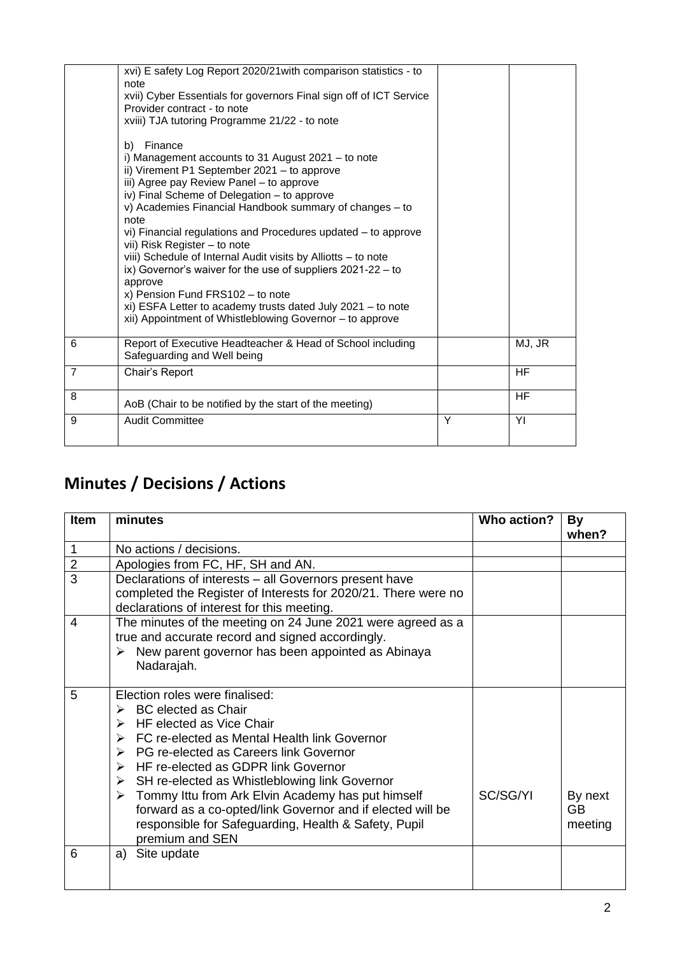|                | xvi) E safety Log Report 2020/21 with comparison statistics - to<br>note<br>xvii) Cyber Essentials for governors Final sign off of ICT Service<br>Provider contract - to note<br>xviii) TJA tutoring Programme 21/22 - to note<br>Finance<br>b)<br>i) Management accounts to 31 August 2021 - to note<br>ii) Virement P1 September 2021 - to approve<br>iii) Agree pay Review Panel - to approve<br>iv) Final Scheme of Delegation - to approve<br>v) Academies Financial Handbook summary of changes - to<br>note<br>vi) Financial regulations and Procedures updated – to approve<br>vii) Risk Register – to note<br>viii) Schedule of Internal Audit visits by Alliotts - to note<br>ix) Governor's waiver for the use of suppliers $2021-22 - to$<br>approve<br>x) Pension Fund FRS102 - to note<br>xi) ESFA Letter to academy trusts dated July 2021 - to note<br>xii) Appointment of Whistleblowing Governor - to approve |   |           |
|----------------|---------------------------------------------------------------------------------------------------------------------------------------------------------------------------------------------------------------------------------------------------------------------------------------------------------------------------------------------------------------------------------------------------------------------------------------------------------------------------------------------------------------------------------------------------------------------------------------------------------------------------------------------------------------------------------------------------------------------------------------------------------------------------------------------------------------------------------------------------------------------------------------------------------------------------------|---|-----------|
| 6              | Report of Executive Headteacher & Head of School including<br>Safeguarding and Well being                                                                                                                                                                                                                                                                                                                                                                                                                                                                                                                                                                                                                                                                                                                                                                                                                                       |   | MJ, JR    |
| $\overline{7}$ | Chair's Report                                                                                                                                                                                                                                                                                                                                                                                                                                                                                                                                                                                                                                                                                                                                                                                                                                                                                                                  |   | <b>HF</b> |
| 8              | AoB (Chair to be notified by the start of the meeting)                                                                                                                                                                                                                                                                                                                                                                                                                                                                                                                                                                                                                                                                                                                                                                                                                                                                          |   | <b>HF</b> |
| 9              | <b>Audit Committee</b>                                                                                                                                                                                                                                                                                                                                                                                                                                                                                                                                                                                                                                                                                                                                                                                                                                                                                                          | Y | YI        |
|                |                                                                                                                                                                                                                                                                                                                                                                                                                                                                                                                                                                                                                                                                                                                                                                                                                                                                                                                                 |   |           |

## **Minutes / Decisions / Actions**

| <b>Item</b>    | minutes                                                                                                                                                                                                                                                                                                                                                                                                                                                                                                                                                                      | Who action? | By<br>when?              |
|----------------|------------------------------------------------------------------------------------------------------------------------------------------------------------------------------------------------------------------------------------------------------------------------------------------------------------------------------------------------------------------------------------------------------------------------------------------------------------------------------------------------------------------------------------------------------------------------------|-------------|--------------------------|
|                | No actions / decisions.                                                                                                                                                                                                                                                                                                                                                                                                                                                                                                                                                      |             |                          |
| $\overline{2}$ | Apologies from FC, HF, SH and AN.                                                                                                                                                                                                                                                                                                                                                                                                                                                                                                                                            |             |                          |
| 3              | Declarations of interests - all Governors present have<br>completed the Register of Interests for 2020/21. There were no<br>declarations of interest for this meeting.                                                                                                                                                                                                                                                                                                                                                                                                       |             |                          |
| $\overline{4}$ | The minutes of the meeting on 24 June 2021 were agreed as a<br>true and accurate record and signed accordingly.<br>New parent governor has been appointed as Abinaya<br>Nadarajah.                                                                                                                                                                                                                                                                                                                                                                                           |             |                          |
| 5              | Election roles were finalised:<br>$\triangleright$ BC elected as Chair<br>$\triangleright$ HF elected as Vice Chair<br>$\triangleright$ FC re-elected as Mental Health link Governor<br>$\triangleright$ PG re-elected as Careers link Governor<br>HF re-elected as GDPR link Governor<br>↘<br>$\triangleright$ SH re-elected as Whistleblowing link Governor<br>$\triangleright$ Tommy Ittu from Ark Elvin Academy has put himself<br>forward as a co-opted/link Governor and if elected will be<br>responsible for Safeguarding, Health & Safety, Pupil<br>premium and SEN | SC/SG/YI    | By next<br>GB<br>meeting |
| 6              | a) Site update                                                                                                                                                                                                                                                                                                                                                                                                                                                                                                                                                               |             |                          |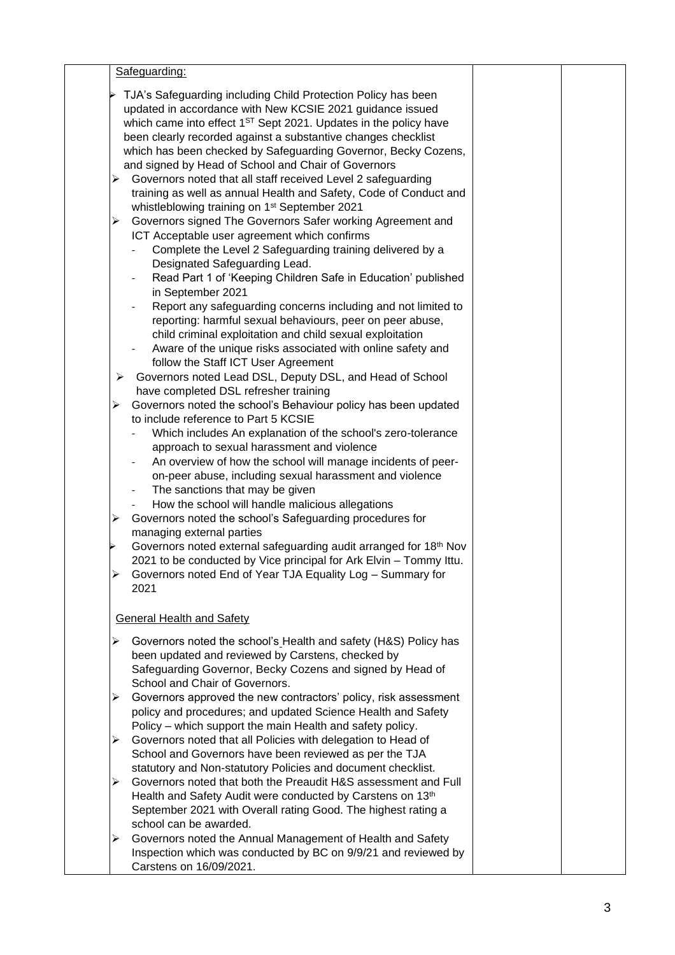| Safeguarding:                                                                                                              |  |
|----------------------------------------------------------------------------------------------------------------------------|--|
| TJA's Safeguarding including Child Protection Policy has been                                                              |  |
| updated in accordance with New KCSIE 2021 guidance issued                                                                  |  |
| which came into effect 1 <sup>ST</sup> Sept 2021. Updates in the policy have                                               |  |
| been clearly recorded against a substantive changes checklist                                                              |  |
| which has been checked by Safeguarding Governor, Becky Cozens,                                                             |  |
| and signed by Head of School and Chair of Governors                                                                        |  |
| Governors noted that all staff received Level 2 safeguarding<br>➤                                                          |  |
| training as well as annual Health and Safety, Code of Conduct and                                                          |  |
| whistleblowing training on 1 <sup>st</sup> September 2021                                                                  |  |
|                                                                                                                            |  |
| Governors signed The Governors Safer working Agreement and<br>➤                                                            |  |
| ICT Acceptable user agreement which confirms<br>Complete the Level 2 Safeguarding training delivered by a                  |  |
| Designated Safeguarding Lead.                                                                                              |  |
| Read Part 1 of 'Keeping Children Safe in Education' published                                                              |  |
| in September 2021                                                                                                          |  |
|                                                                                                                            |  |
| Report any safeguarding concerns including and not limited to<br>reporting: harmful sexual behaviours, peer on peer abuse, |  |
| child criminal exploitation and child sexual exploitation                                                                  |  |
| Aware of the unique risks associated with online safety and                                                                |  |
| follow the Staff ICT User Agreement                                                                                        |  |
| Governors noted Lead DSL, Deputy DSL, and Head of School<br>➤                                                              |  |
| have completed DSL refresher training                                                                                      |  |
| Governors noted the school's Behaviour policy has been updated<br>⋗                                                        |  |
| to include reference to Part 5 KCSIE                                                                                       |  |
| Which includes An explanation of the school's zero-tolerance                                                               |  |
| approach to sexual harassment and violence                                                                                 |  |
| An overview of how the school will manage incidents of peer-                                                               |  |
| on-peer abuse, including sexual harassment and violence                                                                    |  |
| The sanctions that may be given                                                                                            |  |
| How the school will handle malicious allegations                                                                           |  |
| Governors noted the school's Safeguarding procedures for<br>➤                                                              |  |
| managing external parties                                                                                                  |  |
| Governors noted external safeguarding audit arranged for 18th Nov                                                          |  |
| 2021 to be conducted by Vice principal for Ark Elvin - Tommy Ittu.                                                         |  |
| Governors noted End of Year TJA Equality Log - Summary for                                                                 |  |
| 2021                                                                                                                       |  |
|                                                                                                                            |  |
| <b>General Health and Safety</b>                                                                                           |  |
|                                                                                                                            |  |
| Governors noted the school's Health and safety (H&S) Policy has<br>➤                                                       |  |
| been updated and reviewed by Carstens, checked by<br>Safeguarding Governor, Becky Cozens and signed by Head of             |  |
| School and Chair of Governors.                                                                                             |  |
| Governors approved the new contractors' policy, risk assessment<br>➤                                                       |  |
| policy and procedures; and updated Science Health and Safety                                                               |  |
| Policy – which support the main Health and safety policy.                                                                  |  |
| Governors noted that all Policies with delegation to Head of<br>➤                                                          |  |
| School and Governors have been reviewed as per the TJA                                                                     |  |
| statutory and Non-statutory Policies and document checklist.                                                               |  |
| Governors noted that both the Preaudit H&S assessment and Full<br>➤                                                        |  |
| Health and Safety Audit were conducted by Carstens on 13th                                                                 |  |
| September 2021 with Overall rating Good. The highest rating a                                                              |  |
| school can be awarded.                                                                                                     |  |
| Governors noted the Annual Management of Health and Safety<br>➤                                                            |  |
| Inspection which was conducted by BC on 9/9/21 and reviewed by                                                             |  |
| Carstens on 16/09/2021.                                                                                                    |  |
|                                                                                                                            |  |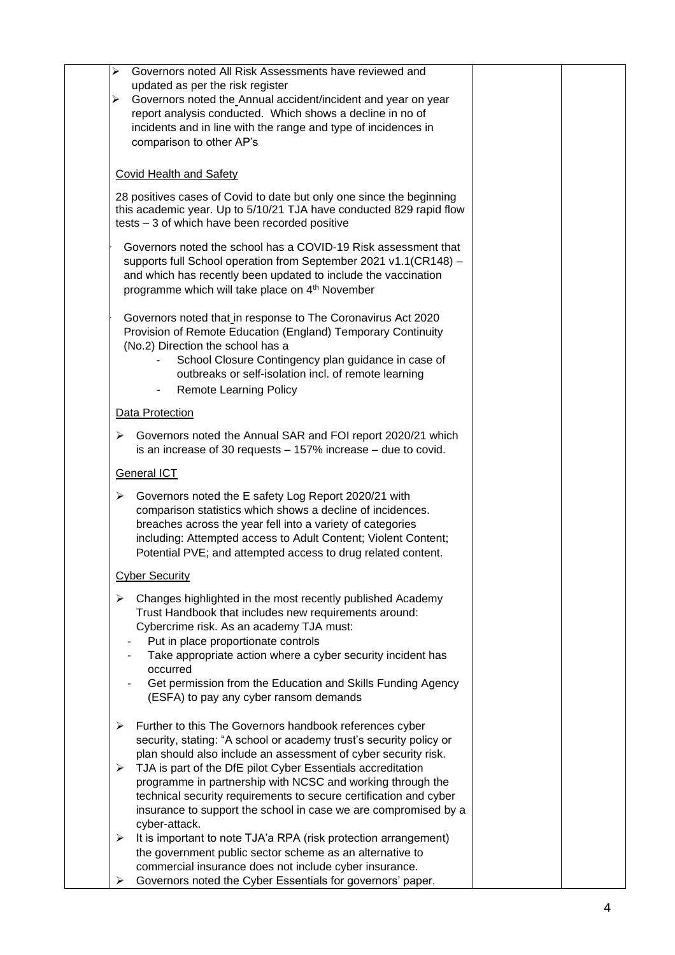| Governors noted All Risk Assessments have reviewed and<br>➤                                                                      |  |
|----------------------------------------------------------------------------------------------------------------------------------|--|
| updated as per the risk register                                                                                                 |  |
| Governors noted the Annual accident/incident and year on year<br>➤<br>report analysis conducted. Which shows a decline in no of  |  |
| incidents and in line with the range and type of incidences in                                                                   |  |
| comparison to other AP's                                                                                                         |  |
|                                                                                                                                  |  |
| <b>Covid Health and Safety</b>                                                                                                   |  |
| 28 positives cases of Covid to date but only one since the beginning                                                             |  |
| this academic year. Up to 5/10/21 TJA have conducted 829 rapid flow<br>tests - 3 of which have been recorded positive            |  |
| Governors noted the school has a COVID-19 Risk assessment that                                                                   |  |
| supports full School operation from September 2021 v1.1(CR148) -                                                                 |  |
| and which has recently been updated to include the vaccination<br>programme which will take place on 4 <sup>th</sup> November    |  |
|                                                                                                                                  |  |
| Governors noted that in response to The Coronavirus Act 2020                                                                     |  |
| Provision of Remote Education (England) Temporary Continuity                                                                     |  |
| (No.2) Direction the school has a<br>School Closure Contingency plan guidance in case of                                         |  |
| outbreaks or self-isolation incl. of remote learning                                                                             |  |
| <b>Remote Learning Policy</b><br>$\overline{\phantom{a}}$                                                                        |  |
| Data Protection                                                                                                                  |  |
| Governors noted the Annual SAR and FOI report 2020/21 which<br>➤                                                                 |  |
| is an increase of 30 requests $-157\%$ increase $-$ due to covid.                                                                |  |
| <b>General ICT</b>                                                                                                               |  |
| Governors noted the E safety Log Report 2020/21 with<br>➤                                                                        |  |
| comparison statistics which shows a decline of incidences.<br>breaches across the year fell into a variety of categories         |  |
| including: Attempted access to Adult Content; Violent Content;                                                                   |  |
| Potential PVE; and attempted access to drug related content.                                                                     |  |
| <b>Cyber Security</b>                                                                                                            |  |
| Changes highlighted in the most recently published Academy<br>➤                                                                  |  |
| Trust Handbook that includes new requirements around:                                                                            |  |
| Cybercrime risk. As an academy TJA must:                                                                                         |  |
| Put in place proportionate controls<br>Take appropriate action where a cyber security incident has                               |  |
| occurred                                                                                                                         |  |
| Get permission from the Education and Skills Funding Agency                                                                      |  |
| (ESFA) to pay any cyber ransom demands                                                                                           |  |
| Further to this The Governors handbook references cyber<br>➤                                                                     |  |
| security, stating: "A school or academy trust's security policy or                                                               |  |
| plan should also include an assessment of cyber security risk.<br>➤                                                              |  |
| TJA is part of the DfE pilot Cyber Essentials accreditation<br>programme in partnership with NCSC and working through the        |  |
| technical security requirements to secure certification and cyber                                                                |  |
| insurance to support the school in case we are compromised by a                                                                  |  |
| cyber-attack.                                                                                                                    |  |
| It is important to note TJA'a RPA (risk protection arrangement)<br>➤<br>the government public sector scheme as an alternative to |  |
| commercial insurance does not include cyber insurance.                                                                           |  |
| Governors noted the Cyber Essentials for governors' paper.<br>⋗                                                                  |  |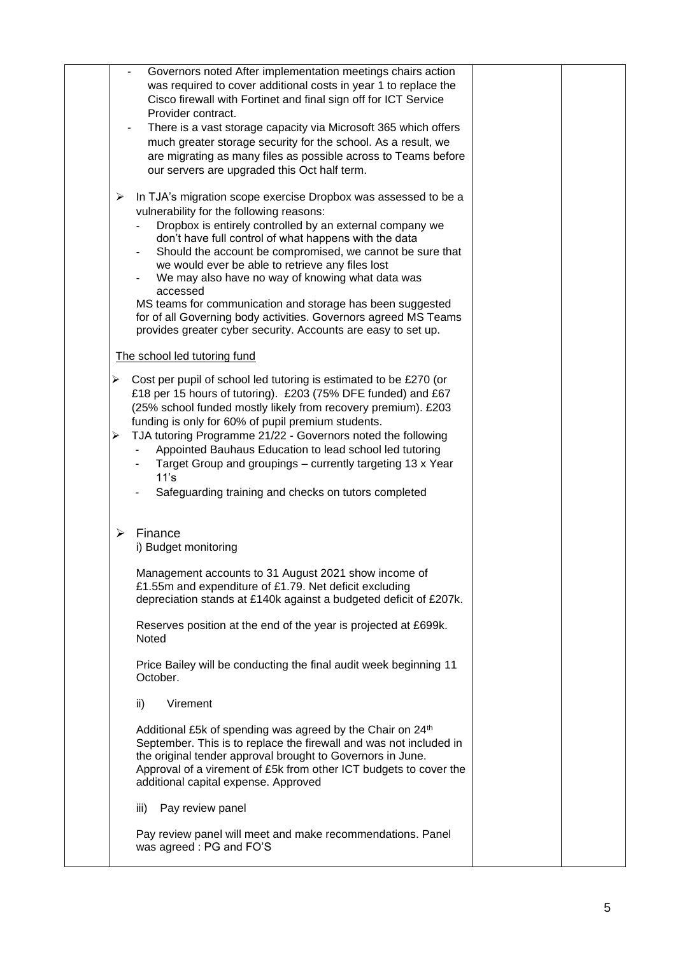| Governors noted After implementation meetings chairs action<br>was required to cover additional costs in year 1 to replace the<br>Cisco firewall with Fortinet and final sign off for ICT Service<br>Provider contract.<br>There is a vast storage capacity via Microsoft 365 which offers                                                                                                                                                                                                                                                                                                                             |  |
|------------------------------------------------------------------------------------------------------------------------------------------------------------------------------------------------------------------------------------------------------------------------------------------------------------------------------------------------------------------------------------------------------------------------------------------------------------------------------------------------------------------------------------------------------------------------------------------------------------------------|--|
| much greater storage security for the school. As a result, we<br>are migrating as many files as possible across to Teams before<br>our servers are upgraded this Oct half term.                                                                                                                                                                                                                                                                                                                                                                                                                                        |  |
| In TJA's migration scope exercise Dropbox was assessed to be a<br>➤<br>vulnerability for the following reasons:<br>Dropbox is entirely controlled by an external company we<br>don't have full control of what happens with the data<br>Should the account be compromised, we cannot be sure that<br>we would ever be able to retrieve any files lost<br>We may also have no way of knowing what data was<br>accessed<br>MS teams for communication and storage has been suggested<br>for of all Governing body activities. Governors agreed MS Teams<br>provides greater cyber security. Accounts are easy to set up. |  |
| The school led tutoring fund                                                                                                                                                                                                                                                                                                                                                                                                                                                                                                                                                                                           |  |
| Cost per pupil of school led tutoring is estimated to be £270 (or<br>➤<br>£18 per 15 hours of tutoring). £203 (75% DFE funded) and £67<br>(25% school funded mostly likely from recovery premium). £203<br>funding is only for 60% of pupil premium students.<br>TJA tutoring Programme 21/22 - Governors noted the following<br>➤<br>Appointed Bauhaus Education to lead school led tutoring<br>Target Group and groupings - currently targeting 13 x Year<br>11's<br>Safeguarding training and checks on tutors completed                                                                                            |  |
| Finance<br>⋗<br>i) Budget monitoring                                                                                                                                                                                                                                                                                                                                                                                                                                                                                                                                                                                   |  |
| Management accounts to 31 August 2021 show income of<br>£1.55m and expenditure of £1.79. Net deficit excluding<br>depreciation stands at £140k against a budgeted deficit of £207k.                                                                                                                                                                                                                                                                                                                                                                                                                                    |  |
| Reserves position at the end of the year is projected at £699k.<br><b>Noted</b>                                                                                                                                                                                                                                                                                                                                                                                                                                                                                                                                        |  |
| Price Bailey will be conducting the final audit week beginning 11<br>October.                                                                                                                                                                                                                                                                                                                                                                                                                                                                                                                                          |  |
| Virement<br>ii)                                                                                                                                                                                                                                                                                                                                                                                                                                                                                                                                                                                                        |  |
| Additional £5k of spending was agreed by the Chair on 24 <sup>th</sup><br>September. This is to replace the firewall and was not included in<br>the original tender approval brought to Governors in June.<br>Approval of a virement of £5k from other ICT budgets to cover the<br>additional capital expense. Approved                                                                                                                                                                                                                                                                                                |  |
| Pay review panel<br>iii)                                                                                                                                                                                                                                                                                                                                                                                                                                                                                                                                                                                               |  |
| Pay review panel will meet and make recommendations. Panel<br>was agreed: PG and FO'S                                                                                                                                                                                                                                                                                                                                                                                                                                                                                                                                  |  |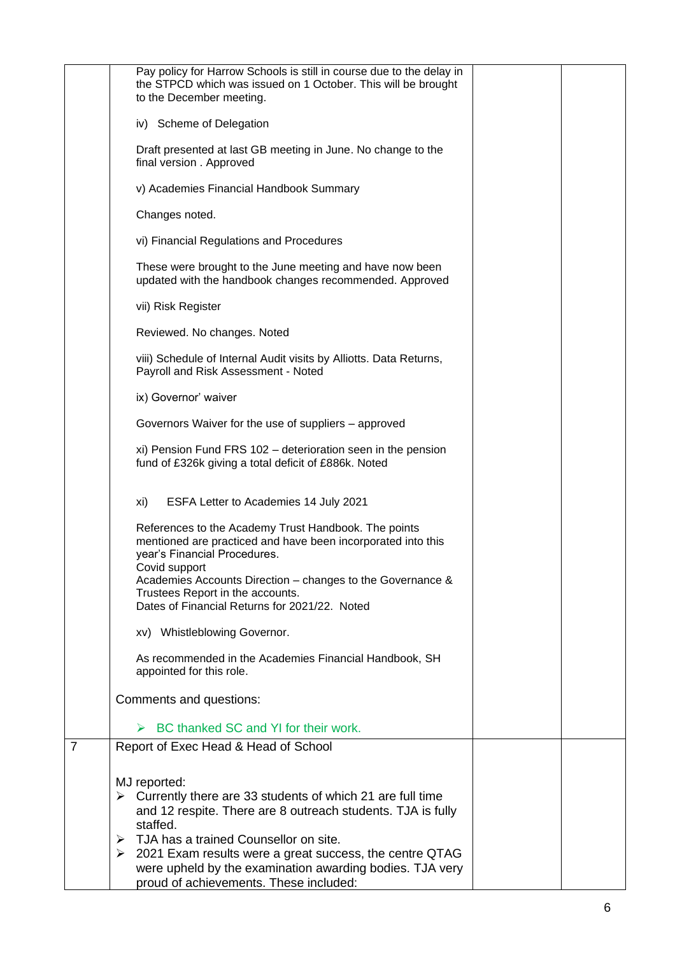|                | Pay policy for Harrow Schools is still in course due to the delay in<br>the STPCD which was issued on 1 October. This will be brought<br>to the December meeting.                                                                                                                                                        |  |
|----------------|--------------------------------------------------------------------------------------------------------------------------------------------------------------------------------------------------------------------------------------------------------------------------------------------------------------------------|--|
|                | iv) Scheme of Delegation                                                                                                                                                                                                                                                                                                 |  |
|                | Draft presented at last GB meeting in June. No change to the<br>final version . Approved                                                                                                                                                                                                                                 |  |
|                | v) Academies Financial Handbook Summary                                                                                                                                                                                                                                                                                  |  |
|                | Changes noted.                                                                                                                                                                                                                                                                                                           |  |
|                | vi) Financial Regulations and Procedures                                                                                                                                                                                                                                                                                 |  |
|                | These were brought to the June meeting and have now been<br>updated with the handbook changes recommended. Approved                                                                                                                                                                                                      |  |
|                | vii) Risk Register                                                                                                                                                                                                                                                                                                       |  |
|                | Reviewed. No changes. Noted                                                                                                                                                                                                                                                                                              |  |
|                | viii) Schedule of Internal Audit visits by Alliotts. Data Returns,<br>Payroll and Risk Assessment - Noted                                                                                                                                                                                                                |  |
|                | ix) Governor' waiver                                                                                                                                                                                                                                                                                                     |  |
|                | Governors Waiver for the use of suppliers - approved                                                                                                                                                                                                                                                                     |  |
|                | xi) Pension Fund FRS 102 - deterioration seen in the pension<br>fund of £326k giving a total deficit of £886k. Noted                                                                                                                                                                                                     |  |
|                | ESFA Letter to Academies 14 July 2021<br>xi)                                                                                                                                                                                                                                                                             |  |
|                | References to the Academy Trust Handbook. The points<br>mentioned are practiced and have been incorporated into this<br>year's Financial Procedures.<br>Covid support<br>Academies Accounts Direction - changes to the Governance &<br>Trustees Report in the accounts.<br>Dates of Financial Returns for 2021/22. Noted |  |
|                | xv) Whistleblowing Governor.                                                                                                                                                                                                                                                                                             |  |
|                | As recommended in the Academies Financial Handbook, SH<br>appointed for this role.                                                                                                                                                                                                                                       |  |
|                | Comments and questions:                                                                                                                                                                                                                                                                                                  |  |
|                | BC thanked SC and YI for their work.                                                                                                                                                                                                                                                                                     |  |
| $\overline{7}$ | Report of Exec Head & Head of School                                                                                                                                                                                                                                                                                     |  |
|                | MJ reported:<br>Currently there are 33 students of which 21 are full time<br>➤<br>and 12 respite. There are 8 outreach students. TJA is fully<br>staffed.<br>TJA has a trained Counsellor on site.<br>➤                                                                                                                  |  |
|                | $\geq$ 2021 Exam results were a great success, the centre QTAG<br>were upheld by the examination awarding bodies. TJA very<br>proud of achievements. These included:                                                                                                                                                     |  |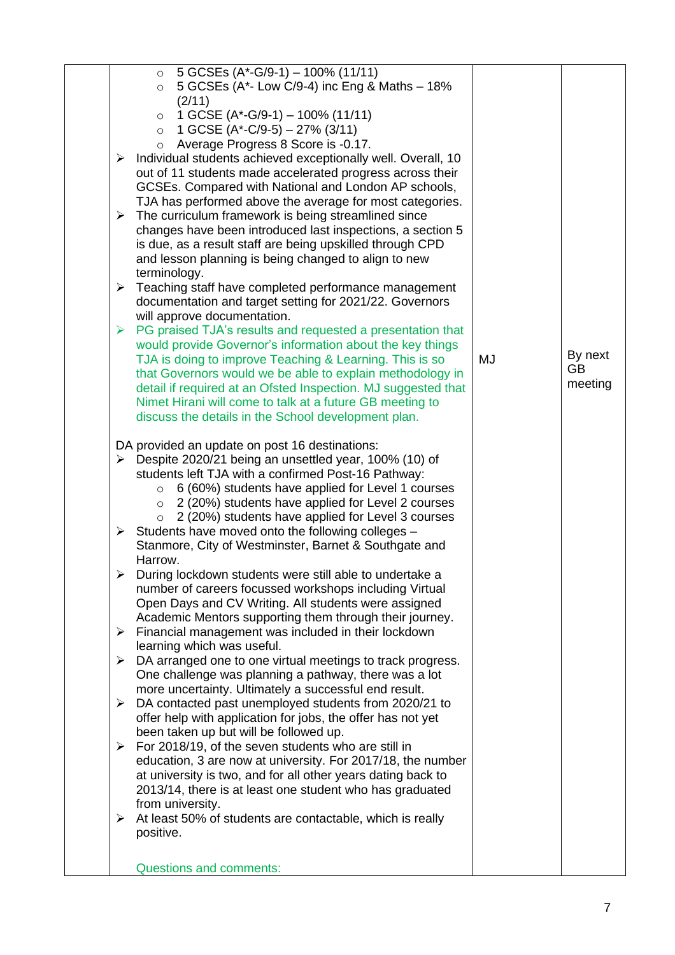| 5 GCSEs $(A*-G/9-1) - 100\% (11/11)$<br>$\circ$                             |    |         |
|-----------------------------------------------------------------------------|----|---------|
| 5 GCSEs (A*- Low C/9-4) inc Eng & Maths - 18%<br>$\circ$                    |    |         |
| (2/11)                                                                      |    |         |
| 1 GCSE $(A^*$ -G/9-1) – 100% (11/11)<br>$\circ$                             |    |         |
| 1 GCSE $(A*-C/9-5) - 27%$ (3/11)<br>$\circ$                                 |    |         |
| Average Progress 8 Score is -0.17.<br>$\circ$                               |    |         |
| Individual students achieved exceptionally well. Overall, 10<br>≻           |    |         |
| out of 11 students made accelerated progress across their                   |    |         |
| GCSEs. Compared with National and London AP schools,                        |    |         |
| TJA has performed above the average for most categories.                    |    |         |
| $\triangleright$ The curriculum framework is being streamlined since        |    |         |
| changes have been introduced last inspections, a section 5                  |    |         |
| is due, as a result staff are being upskilled through CPD                   |    |         |
| and lesson planning is being changed to align to new                        |    |         |
| terminology.                                                                |    |         |
| Teaching staff have completed performance management<br>➤                   |    |         |
| documentation and target setting for 2021/22. Governors                     |    |         |
| will approve documentation.                                                 |    |         |
| $\triangleright$ PG praised TJA's results and requested a presentation that |    |         |
| would provide Governor's information about the key things                   |    |         |
| TJA is doing to improve Teaching & Learning. This is so                     | MJ | By next |
| that Governors would we be able to explain methodology in                   |    | GB      |
| detail if required at an Ofsted Inspection. MJ suggested that               |    | meeting |
| Nimet Hirani will come to talk at a future GB meeting to                    |    |         |
| discuss the details in the School development plan.                         |    |         |
|                                                                             |    |         |
| DA provided an update on post 16 destinations:                              |    |         |
| $\triangleright$ Despite 2020/21 being an unsettled year, 100% (10) of      |    |         |
| students left TJA with a confirmed Post-16 Pathway:                         |    |         |
| $\circ$ 6 (60%) students have applied for Level 1 courses                   |    |         |
| 2 (20%) students have applied for Level 2 courses<br>$\circ$                |    |         |
| 2 (20%) students have applied for Level 3 courses<br>$\circ$                |    |         |
| $\triangleright$ Students have moved onto the following colleges -          |    |         |
| Stanmore, City of Westminster, Barnet & Southgate and                       |    |         |
| Harrow.                                                                     |    |         |
| > During lockdown students were still able to undertake a                   |    |         |
| number of careers focussed workshops including Virtual                      |    |         |
| Open Days and CV Writing. All students were assigned                        |    |         |
| Academic Mentors supporting them through their journey.                     |    |         |
| $\triangleright$ Financial management was included in their lockdown        |    |         |
| learning which was useful.                                                  |    |         |
| DA arranged one to one virtual meetings to track progress.<br>➤             |    |         |
| One challenge was planning a pathway, there was a lot                       |    |         |
| more uncertainty. Ultimately a successful end result.                       |    |         |
| DA contacted past unemployed students from 2020/21 to<br>➤                  |    |         |
| offer help with application for jobs, the offer has not yet                 |    |         |
| been taken up but will be followed up.                                      |    |         |
| $\triangleright$ For 2018/19, of the seven students who are still in        |    |         |
| education, 3 are now at university. For 2017/18, the number                 |    |         |
| at university is two, and for all other years dating back to                |    |         |
| 2013/14, there is at least one student who has graduated                    |    |         |
| from university.                                                            |    |         |
| At least 50% of students are contactable, which is really<br>➤              |    |         |
| positive.                                                                   |    |         |
|                                                                             |    |         |
| <b>Questions and comments:</b>                                              |    |         |
|                                                                             |    |         |